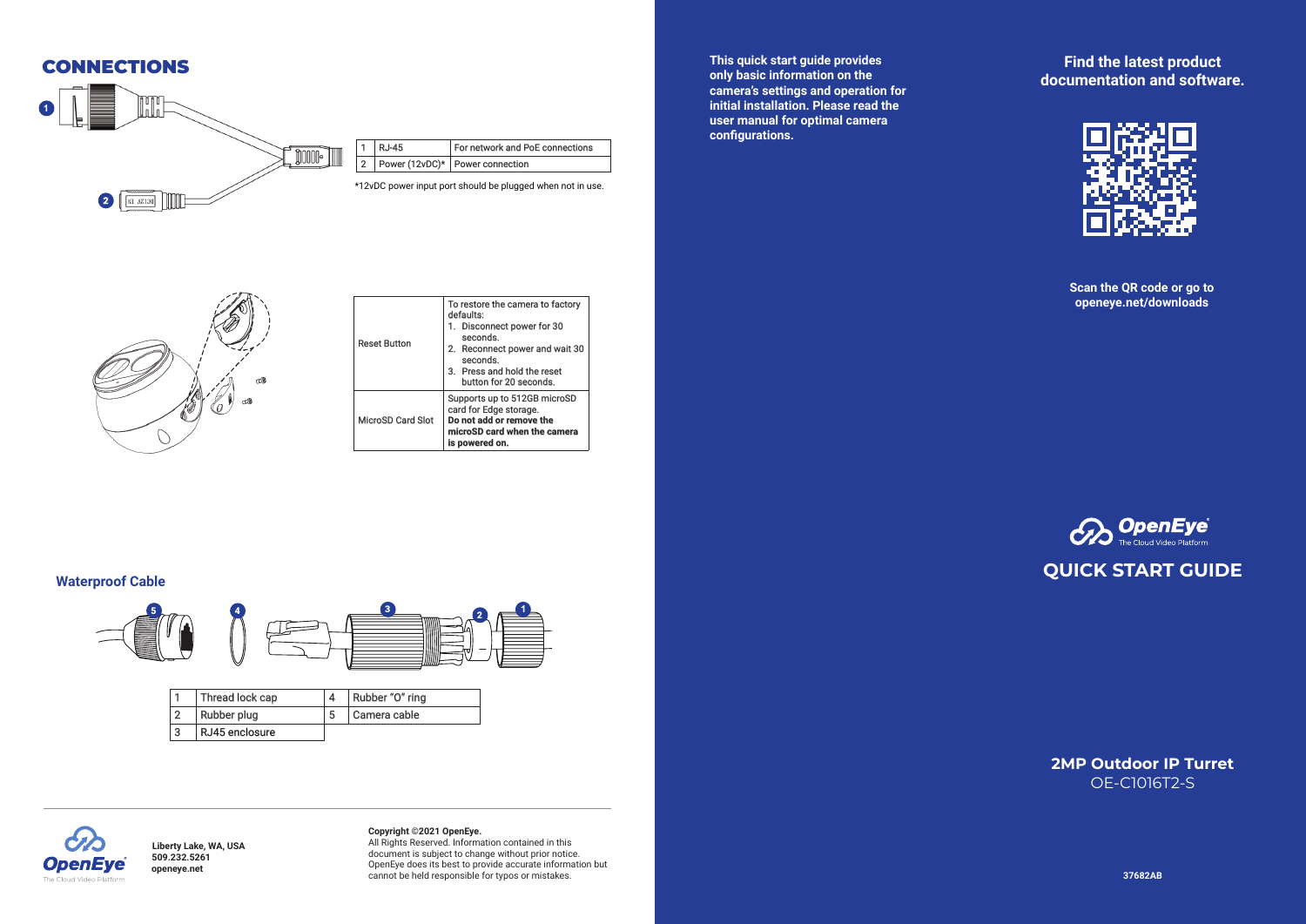

**This quick start guide provides only basic information on the camera's settings and operation for initial installation. Please read the user manual for optimal camera**  configurations.

**Find the latest product documentation and software.**



**Scan the QR code or go to openeye.net/downloads**



| <b>Reset Button</b> | To restore the camera to factory<br>defaults:<br>1. Disconnect power for 30<br>seconds.<br>2. Reconnect power and wait 30<br>seconds.<br>3. Press and hold the reset<br>button for 20 seconds. |
|---------------------|------------------------------------------------------------------------------------------------------------------------------------------------------------------------------------------------|
| MicroSD Card Slot   | Supports up to 512GB microSD<br>card for Edge storage.<br>Do not add or remove the<br>microSD card when the camera<br>is powered on.                                                           |



#### **Waterproof Cable**



|   | Thread lock cap | Rubber "O" ring |
|---|-----------------|-----------------|
|   | Rubber plug     | Camera cable    |
| 3 | RJ45 enclosure  |                 |



**Liberty Lake, WA, USA 509.232.5261 openeye.net**

# **Copyright ©2021 OpenEye.**  All Rights Reserved. Information contained in this

document is subject to change without prior notice. OpenEye does its best to provide accurate information but cannot be held responsible for typos or mistakes.

**2MP Outdoor IP Turret** OE-C1016T2-S